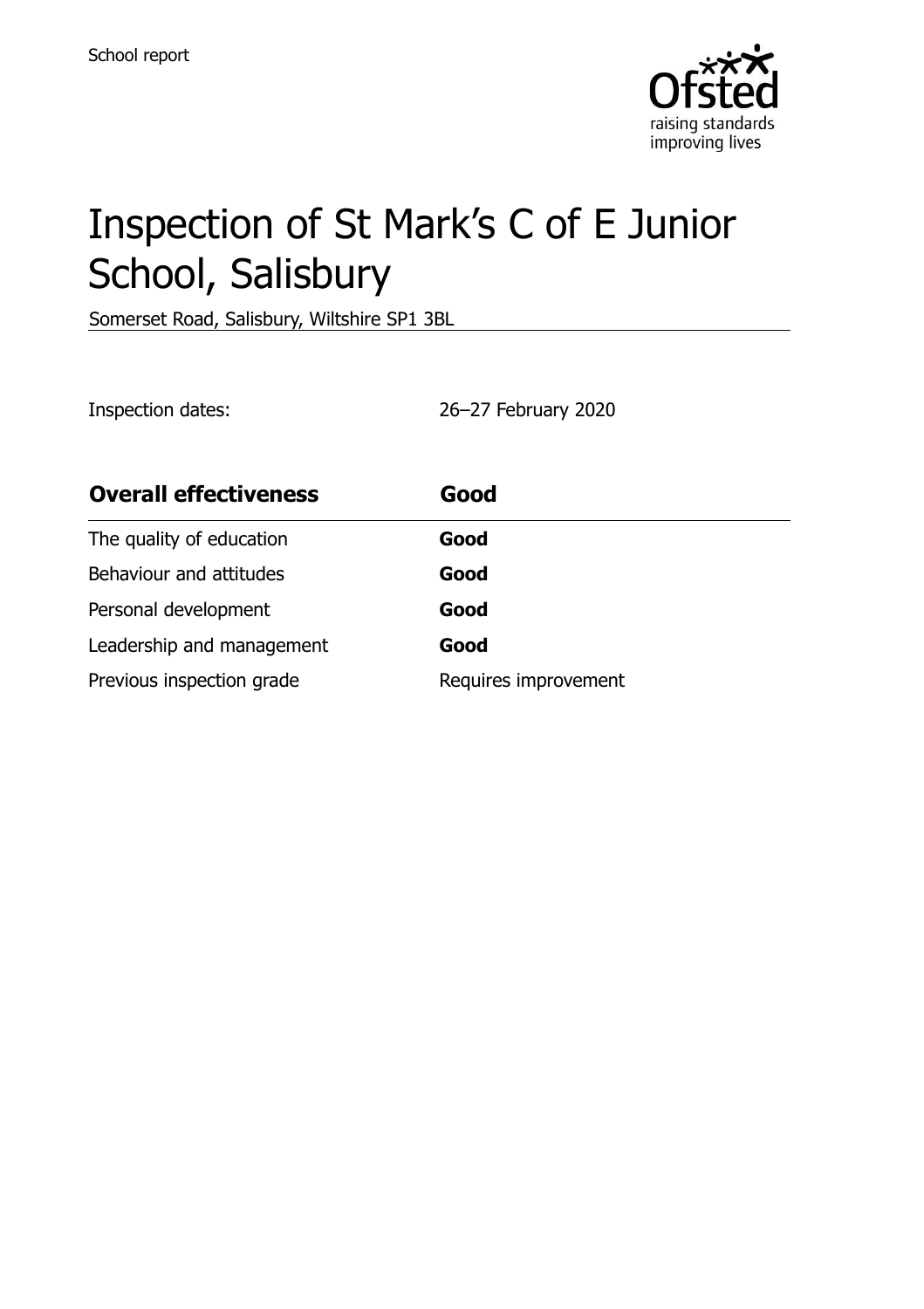

# Inspection of St Mark's C of E Junior School, Salisbury

Somerset Road, Salisbury, Wiltshire SP1 3BL

Inspection dates: 26–27 February 2020

| <b>Overall effectiveness</b> | Good                 |
|------------------------------|----------------------|
| The quality of education     | Good                 |
| Behaviour and attitudes      | Good                 |
| Personal development         | Good                 |
| Leadership and management    | Good                 |
| Previous inspection grade    | Requires improvement |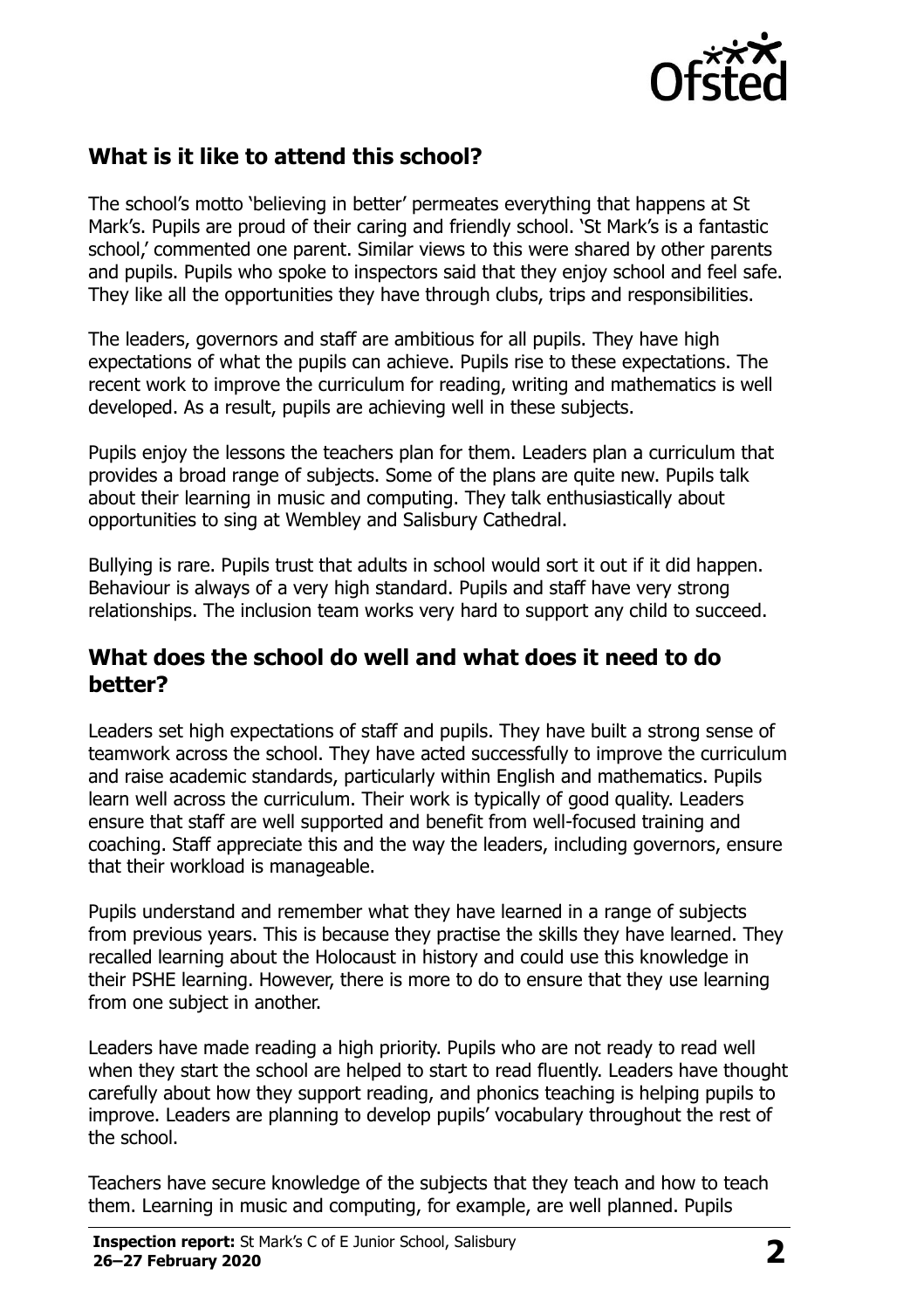

# **What is it like to attend this school?**

The school's motto 'believing in better' permeates everything that happens at St Mark's. Pupils are proud of their caring and friendly school. 'St Mark's is a fantastic school,' commented one parent. Similar views to this were shared by other parents and pupils. Pupils who spoke to inspectors said that they enjoy school and feel safe. They like all the opportunities they have through clubs, trips and responsibilities.

The leaders, governors and staff are ambitious for all pupils. They have high expectations of what the pupils can achieve. Pupils rise to these expectations. The recent work to improve the curriculum for reading, writing and mathematics is well developed. As a result, pupils are achieving well in these subjects.

Pupils enjoy the lessons the teachers plan for them. Leaders plan a curriculum that provides a broad range of subjects. Some of the plans are quite new. Pupils talk about their learning in music and computing. They talk enthusiastically about opportunities to sing at Wembley and Salisbury Cathedral.

Bullying is rare. Pupils trust that adults in school would sort it out if it did happen. Behaviour is always of a very high standard. Pupils and staff have very strong relationships. The inclusion team works very hard to support any child to succeed.

#### **What does the school do well and what does it need to do better?**

Leaders set high expectations of staff and pupils. They have built a strong sense of teamwork across the school. They have acted successfully to improve the curriculum and raise academic standards, particularly within English and mathematics. Pupils learn well across the curriculum. Their work is typically of good quality. Leaders ensure that staff are well supported and benefit from well-focused training and coaching. Staff appreciate this and the way the leaders, including governors, ensure that their workload is manageable.

Pupils understand and remember what they have learned in a range of subjects from previous years. This is because they practise the skills they have learned. They recalled learning about the Holocaust in history and could use this knowledge in their PSHE learning. However, there is more to do to ensure that they use learning from one subject in another.

Leaders have made reading a high priority. Pupils who are not ready to read well when they start the school are helped to start to read fluently. Leaders have thought carefully about how they support reading, and phonics teaching is helping pupils to improve. Leaders are planning to develop pupils' vocabulary throughout the rest of the school.

Teachers have secure knowledge of the subjects that they teach and how to teach them. Learning in music and computing, for example, are well planned. Pupils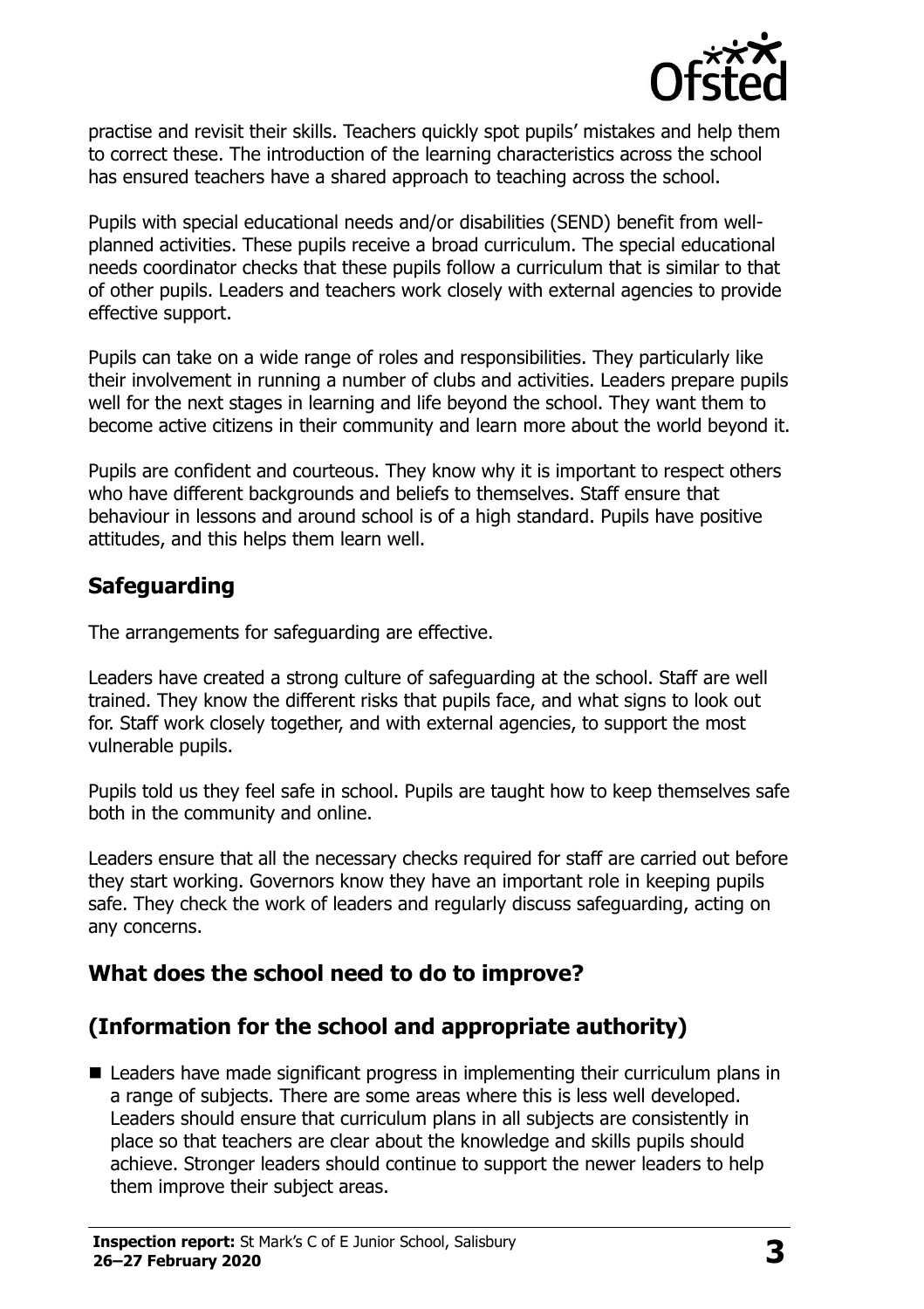

practise and revisit their skills. Teachers quickly spot pupils' mistakes and help them to correct these. The introduction of the learning characteristics across the school has ensured teachers have a shared approach to teaching across the school.

Pupils with special educational needs and/or disabilities (SEND) benefit from wellplanned activities. These pupils receive a broad curriculum. The special educational needs coordinator checks that these pupils follow a curriculum that is similar to that of other pupils. Leaders and teachers work closely with external agencies to provide effective support.

Pupils can take on a wide range of roles and responsibilities. They particularly like their involvement in running a number of clubs and activities. Leaders prepare pupils well for the next stages in learning and life beyond the school. They want them to become active citizens in their community and learn more about the world beyond it.

Pupils are confident and courteous. They know why it is important to respect others who have different backgrounds and beliefs to themselves. Staff ensure that behaviour in lessons and around school is of a high standard. Pupils have positive attitudes, and this helps them learn well.

## **Safeguarding**

The arrangements for safeguarding are effective.

Leaders have created a strong culture of safeguarding at the school. Staff are well trained. They know the different risks that pupils face, and what signs to look out for. Staff work closely together, and with external agencies, to support the most vulnerable pupils.

Pupils told us they feel safe in school. Pupils are taught how to keep themselves safe both in the community and online.

Leaders ensure that all the necessary checks required for staff are carried out before they start working. Governors know they have an important role in keeping pupils safe. They check the work of leaders and regularly discuss safeguarding, acting on any concerns.

# **What does the school need to do to improve?**

# **(Information for the school and appropriate authority)**

■ Leaders have made significant progress in implementing their curriculum plans in a range of subjects. There are some areas where this is less well developed. Leaders should ensure that curriculum plans in all subjects are consistently in place so that teachers are clear about the knowledge and skills pupils should achieve. Stronger leaders should continue to support the newer leaders to help them improve their subject areas.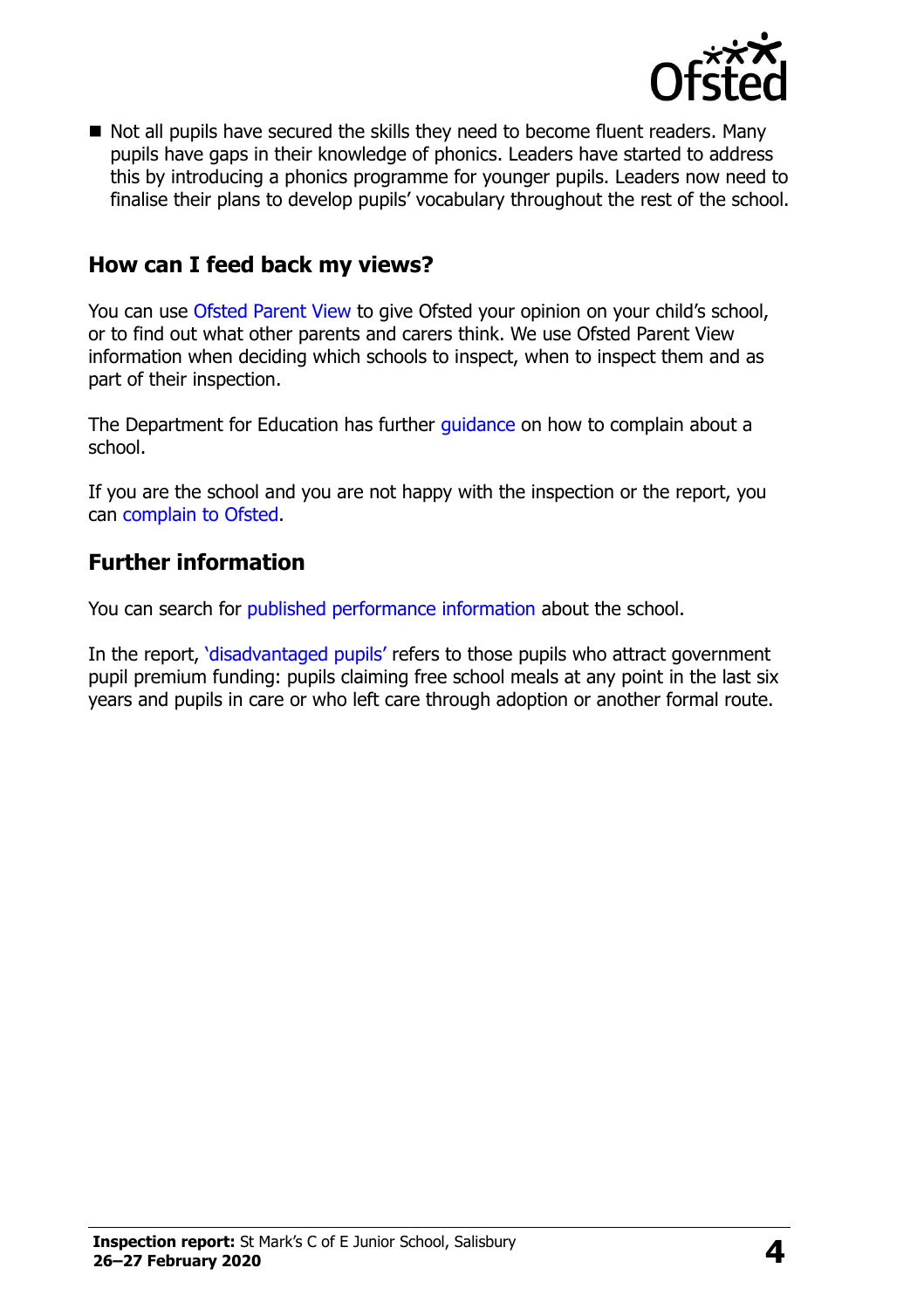

■ Not all pupils have secured the skills they need to become fluent readers. Many pupils have gaps in their knowledge of phonics. Leaders have started to address this by introducing a phonics programme for younger pupils. Leaders now need to finalise their plans to develop pupils' vocabulary throughout the rest of the school.

### **How can I feed back my views?**

You can use [Ofsted Parent View](http://parentview.ofsted.gov.uk/) to give Ofsted your opinion on your child's school, or to find out what other parents and carers think. We use Ofsted Parent View information when deciding which schools to inspect, when to inspect them and as part of their inspection.

The Department for Education has further [guidance](http://www.gov.uk/complain-about-school) on how to complain about a school.

If you are the school and you are not happy with the inspection or the report, you can [complain to Ofsted.](http://www.gov.uk/complain-ofsted-report)

#### **Further information**

You can search for [published performance information](http://www.compare-school-performance.service.gov.uk/) about the school.

In the report, '[disadvantaged pupils](http://www.gov.uk/guidance/pupil-premium-information-for-schools-and-alternative-provision-settings)' refers to those pupils who attract government pupil premium funding: pupils claiming free school meals at any point in the last six years and pupils in care or who left care through adoption or another formal route.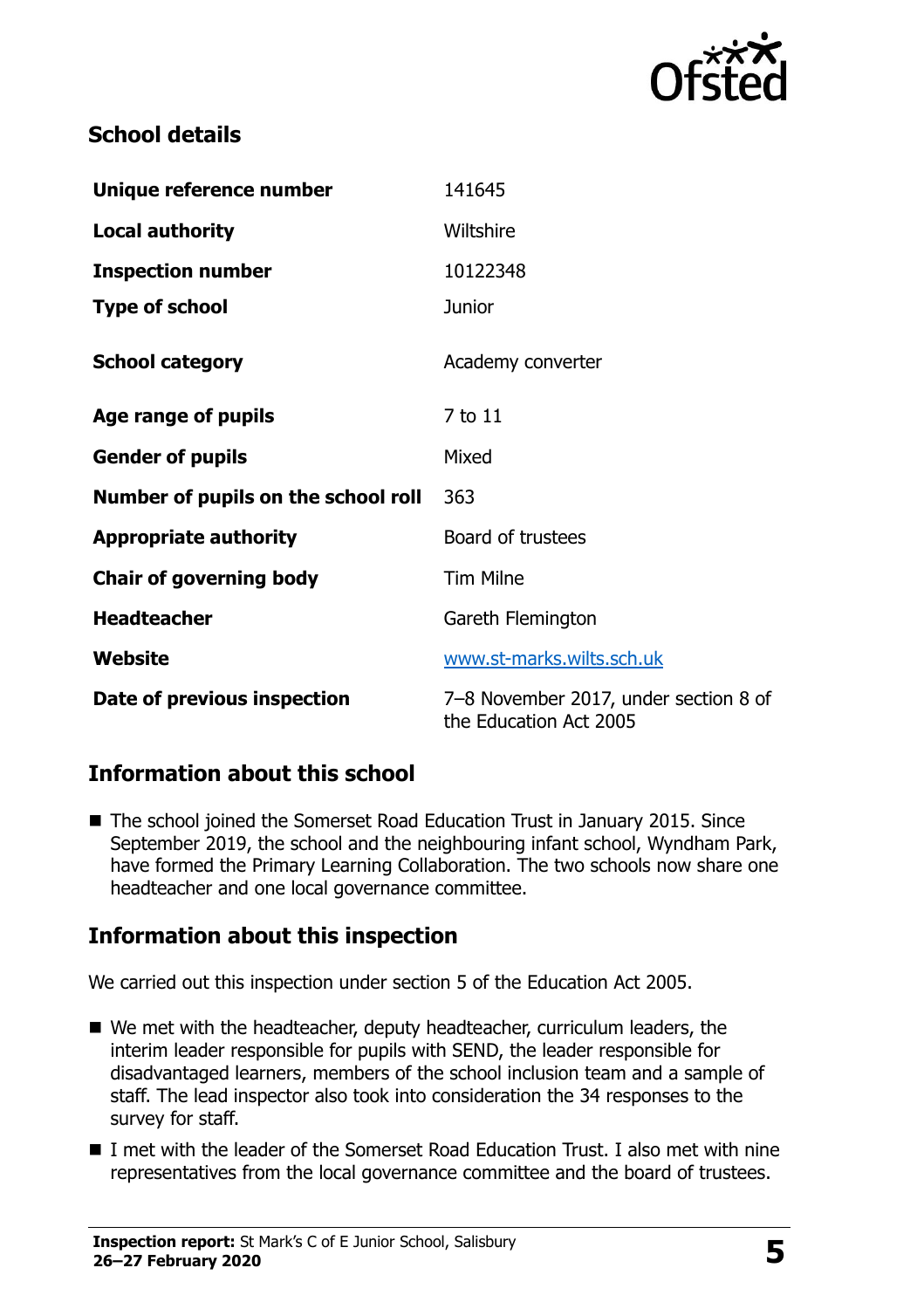

# **School details**

| Unique reference number             | 141645                                                          |  |
|-------------------------------------|-----------------------------------------------------------------|--|
| <b>Local authority</b>              | Wiltshire                                                       |  |
| <b>Inspection number</b>            | 10122348                                                        |  |
| <b>Type of school</b>               | <b>Junior</b>                                                   |  |
| <b>School category</b>              | Academy converter                                               |  |
| Age range of pupils                 | 7 to 11                                                         |  |
| <b>Gender of pupils</b>             | Mixed                                                           |  |
| Number of pupils on the school roll | 363                                                             |  |
| <b>Appropriate authority</b>        | Board of trustees                                               |  |
| <b>Chair of governing body</b>      | <b>Tim Milne</b>                                                |  |
| <b>Headteacher</b>                  | Gareth Flemington                                               |  |
| Website                             | www.st-marks.wilts.sch.uk                                       |  |
| Date of previous inspection         | 7-8 November 2017, under section 8 of<br>the Education Act 2005 |  |

# **Information about this school**

■ The school joined the Somerset Road Education Trust in January 2015. Since September 2019, the school and the neighbouring infant school, Wyndham Park, have formed the Primary Learning Collaboration. The two schools now share one headteacher and one local governance committee.

# **Information about this inspection**

We carried out this inspection under section 5 of the Education Act 2005.

- We met with the headteacher, deputy headteacher, curriculum leaders, the interim leader responsible for pupils with SEND, the leader responsible for disadvantaged learners, members of the school inclusion team and a sample of staff. The lead inspector also took into consideration the 34 responses to the survey for staff.
- I met with the leader of the Somerset Road Education Trust. I also met with nine representatives from the local governance committee and the board of trustees.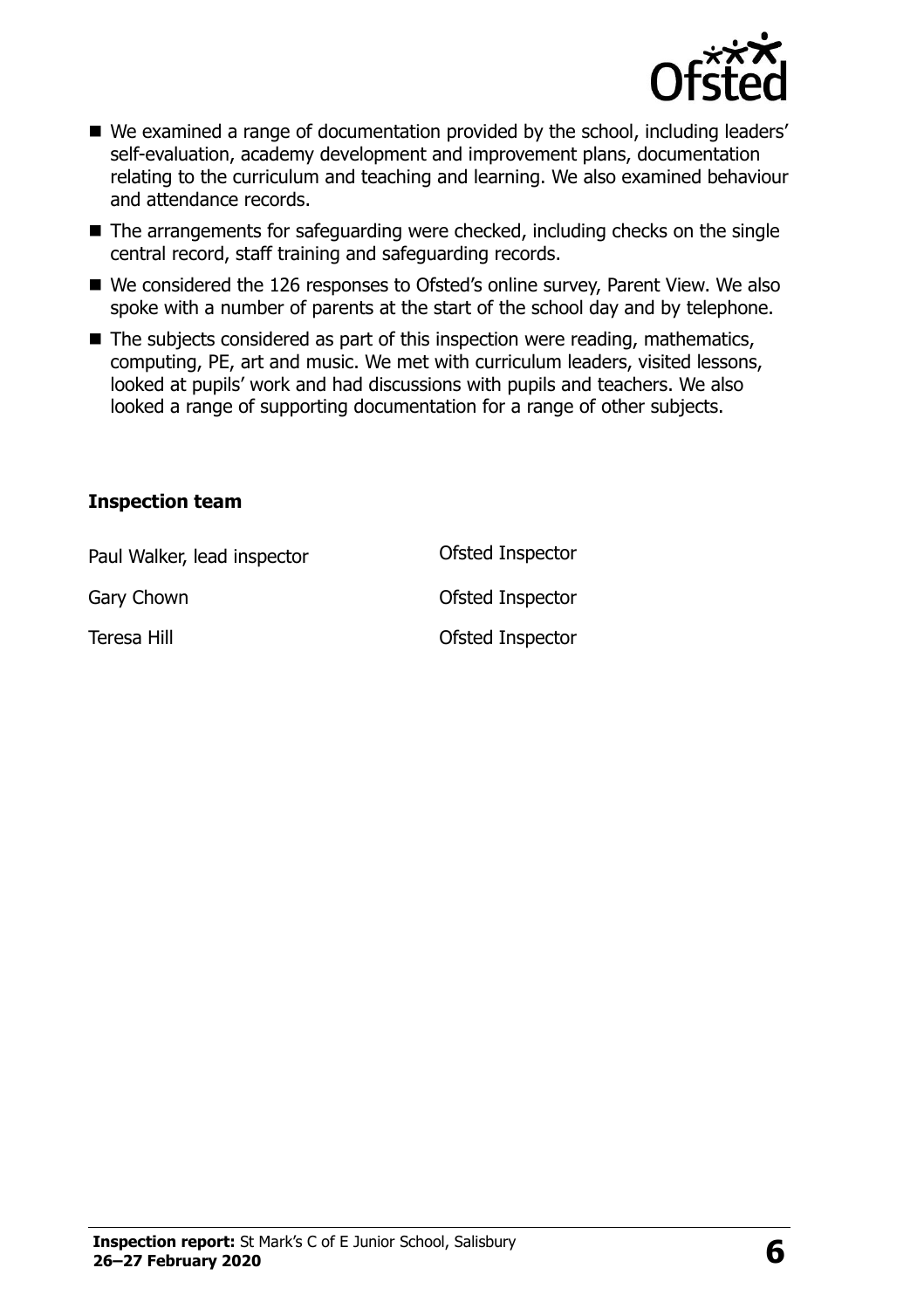

- We examined a range of documentation provided by the school, including leaders' self-evaluation, academy development and improvement plans, documentation relating to the curriculum and teaching and learning. We also examined behaviour and attendance records.
- $\blacksquare$  The arrangements for safeguarding were checked, including checks on the single central record, staff training and safeguarding records.
- We considered the 126 responses to Ofsted's online survey, Parent View. We also spoke with a number of parents at the start of the school day and by telephone.
- The subjects considered as part of this inspection were reading, mathematics, computing, PE, art and music. We met with curriculum leaders, visited lessons, looked at pupils' work and had discussions with pupils and teachers. We also looked a range of supporting documentation for a range of other subjects.

#### **Inspection team**

| Paul Walker, lead inspector | Ofsted Inspector |
|-----------------------------|------------------|
| Gary Chown                  | Ofsted Inspector |
| Teresa Hill                 | Ofsted Inspector |